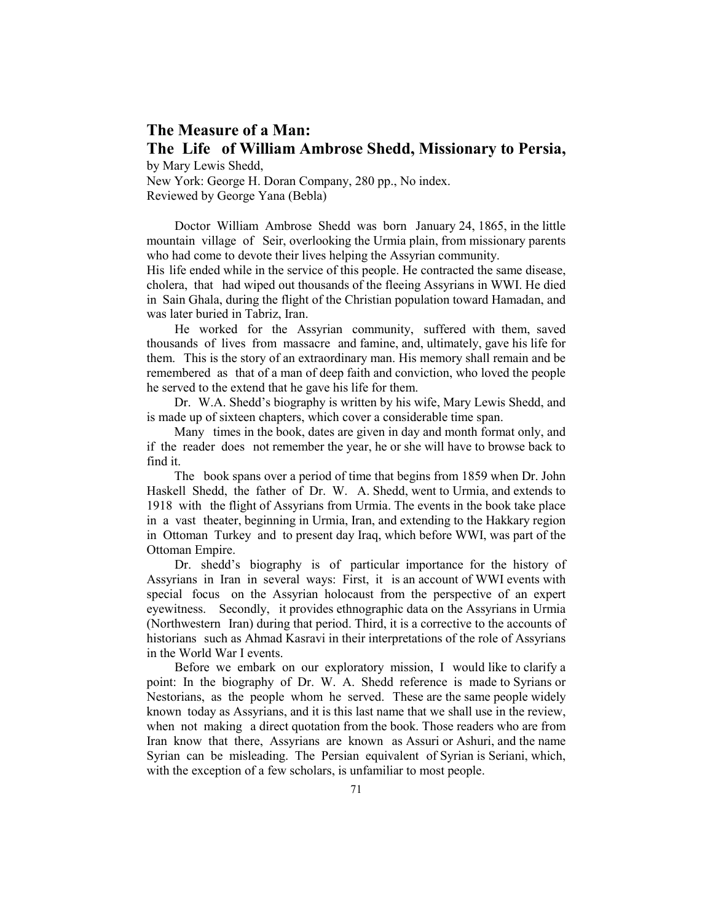# **The Measure of a Man: The Life of William Ambrose Shedd, Missionary to Persia,**

by Mary Lewis Shedd,

New York: George H. Doran Company, 280 pp., No index. Reviewed by George Yana (Bebla)

Doctor William Ambrose Shedd was born January 24, 1865, in the little mountain village of Seir, overlooking the Urmia plain, from missionary parents who had come to devote their lives helping the Assyrian community.

His life ended while in the service of this people. He contracted the same disease, cholera, that had wiped out thousands of the fleeing Assyrians in WWI. He died in Sain Ghala, during the flight of the Christian population toward Hamadan, and was later buried in Tabriz, Iran.

He worked for the Assyrian community, suffered with them, saved thousands of lives from massacre and famine, and, ultimately, gave his life for them. This is the story of an extraordinary man. His memory shall remain and be remembered as that of a man of deep faith and conviction, who loved the people he served to the extend that he gave his life for them.

Dr. W.A. Shedd's biography is written by his wife, Mary Lewis Shedd, and is made up of sixteen chapters, which cover a considerable time span.

Many times in the book, dates are given in day and month format only, and if the reader does not remember the year, he or she will have to browse back to find it.

The book spans over a period of time that begins from 1859 when Dr. John Haskell Shedd, the father of Dr. W. A. Shedd, went to Urmia, and extends to 1918 with the flight of Assyrians from Urmia. The events in the book take place in a vast theater, beginning in Urmia, Iran, and extending to the Hakkary region in Ottoman Turkey and to present day Iraq, which before WWI, was part of the Ottoman Empire.

Dr. shedd's biography is of particular importance for the history of Assyrians in Iran in several ways: First, it is an account of WWI events with special focus on the Assyrian holocaust from the perspective of an expert eyewitness. Secondly, it provides ethnographic data on the Assyrians in Urmia (Northwestern Iran) during that period. Third, it is a corrective to the accounts of historians such as Ahmad Kasravi in their interpretations of the role of Assyrians in the World War I events.

Before we embark on our exploratory mission, I would like to clarify a point: In the biography of Dr. W. A. Shedd reference is made to Syrians or Nestorians, as the people whom he served. These are the same people widely known today as Assyrians, and it is this last name that we shall use in the review, when not making a direct quotation from the book. Those readers who are from Iran know that there, Assyrians are known as Assuri or Ashuri, and the name Syrian can be misleading. The Persian equivalent of Syrian is Seriani, which, with the exception of a few scholars, is unfamiliar to most people.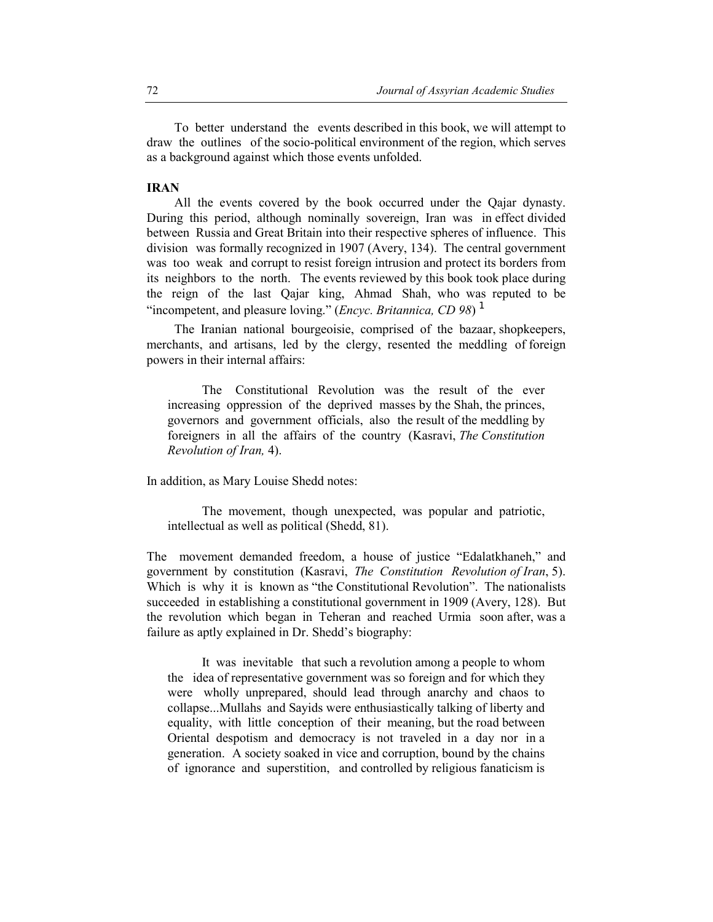To better understand the events described in this book, we will attempt to draw the outlines of the socio-political environment of the region, which serves as a background against which those events unfolded.

# **IRAN**

All the events covered by the book occurred under the Qajar dynasty. During this period, although nominally sovereign, Iran was in effect divided between Russia and Great Britain into their respective spheres of influence. This division was formally recognized in 1907 (Avery, 134). The central government was too weak and corrupt to resist foreign intrusion and protect its borders from its neighbors to the north. The events reviewed by this book took place during the reign of the last Qajar king, Ahmad Shah, who was reputed to be "incompetent, and pleasure loving." (*Encyc. Britannica, CD 98*) <sup>1</sup>

The Iranian national bourgeoisie, comprised of the bazaar, shopkeepers, merchants, and artisans, led by the clergy, resented the meddling of foreign powers in their internal affairs:

The Constitutional Revolution was the result of the ever increasing oppression of the deprived masses by the Shah, the princes, governors and government officials, also the result of the meddling by foreigners in all the affairs of the country (Kasravi, *The Constitution Revolution of Iran,* 4).

In addition, as Mary Louise Shedd notes:

The movement, though unexpected, was popular and patriotic, intellectual as well as political (Shedd, 81).

The movement demanded freedom, a house of justice "Edalatkhaneh," and government by constitution (Kasravi, *The Constitution Revolution of Iran*, 5). Which is why it is known as "the Constitutional Revolution". The nationalists succeeded in establishing a constitutional government in 1909 (Avery, 128). But the revolution which began in Teheran and reached Urmia soon after, was a failure as aptly explained in Dr. Shedd's biography:

It was inevitable that such a revolution among a people to whom the idea of representative government was so foreign and for which they were wholly unprepared, should lead through anarchy and chaos to collapse...Mullahs and Sayids were enthusiastically talking of liberty and equality, with little conception of their meaning, but the road between Oriental despotism and democracy is not traveled in a day nor in a generation. A society soaked in vice and corruption, bound by the chains of ignorance and superstition, and controlled by religious fanaticism is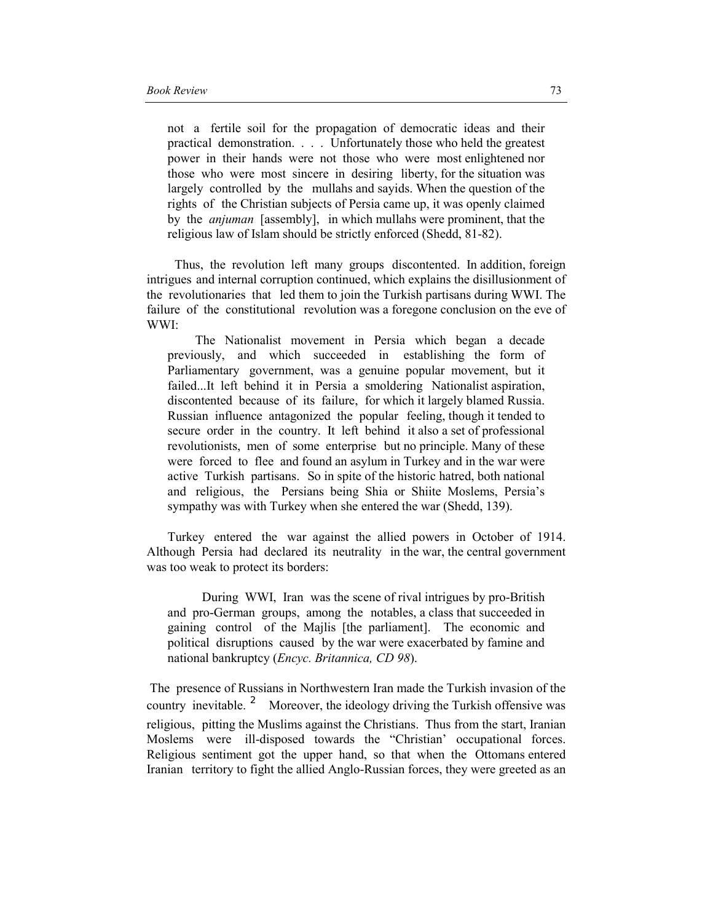not a fertile soil for the propagation of democratic ideas and their practical demonstration. . . . Unfortunately those who held the greatest power in their hands were not those who were most enlightened nor those who were most sincere in desiring liberty, for the situation was largely controlled by the mullahs and sayids. When the question of the rights of the Christian subjects of Persia came up, it was openly claimed by the *anjuman* [assembly], in which mullahs were prominent, that the religious law of Islam should be strictly enforced (Shedd, 81-82).

Thus, the revolution left many groups discontented. In addition, foreign intrigues and internal corruption continued, which explains the disillusionment of the revolutionaries that led them to join the Turkish partisans during WWI. The failure of the constitutional revolution was a foregone conclusion on the eve of WWI:

The Nationalist movement in Persia which began a decade previously, and which succeeded in establishing the form of Parliamentary government, was a genuine popular movement, but it failed...It left behind it in Persia a smoldering Nationalist aspiration, discontented because of its failure, for which it largely blamed Russia. Russian influence antagonized the popular feeling, though it tended to secure order in the country. It left behind it also a set of professional revolutionists, men of some enterprise but no principle. Many of these were forced to flee and found an asylum in Turkey and in the war were active Turkish partisans. So in spite of the historic hatred, both national and religious, the Persians being Shia or Shiite Moslems, Persia's sympathy was with Turkey when she entered the war (Shedd, 139).

Turkey entered the war against the allied powers in October of 1914. Although Persia had declared its neutrality in the war, the central government was too weak to protect its borders:

During WWI, Iran was the scene of rival intrigues by pro-British and pro-German groups, among the notables, a class that succeeded in gaining control of the Majlis [the parliament]. The economic and political disruptions caused by the war were exacerbated by famine and national bankruptcy (*Encyc. Britannica, CD 98*).

 The presence of Russians in Northwestern Iran made the Turkish invasion of the country inevitable.<sup>2</sup> Moreover, the ideology driving the Turkish offensive was religious, pitting the Muslims against the Christians. Thus from the start, Iranian Moslems were ill-disposed towards the "Christian' occupational forces. Religious sentiment got the upper hand, so that when the Ottomans entered Iranian territory to fight the allied Anglo-Russian forces, they were greeted as an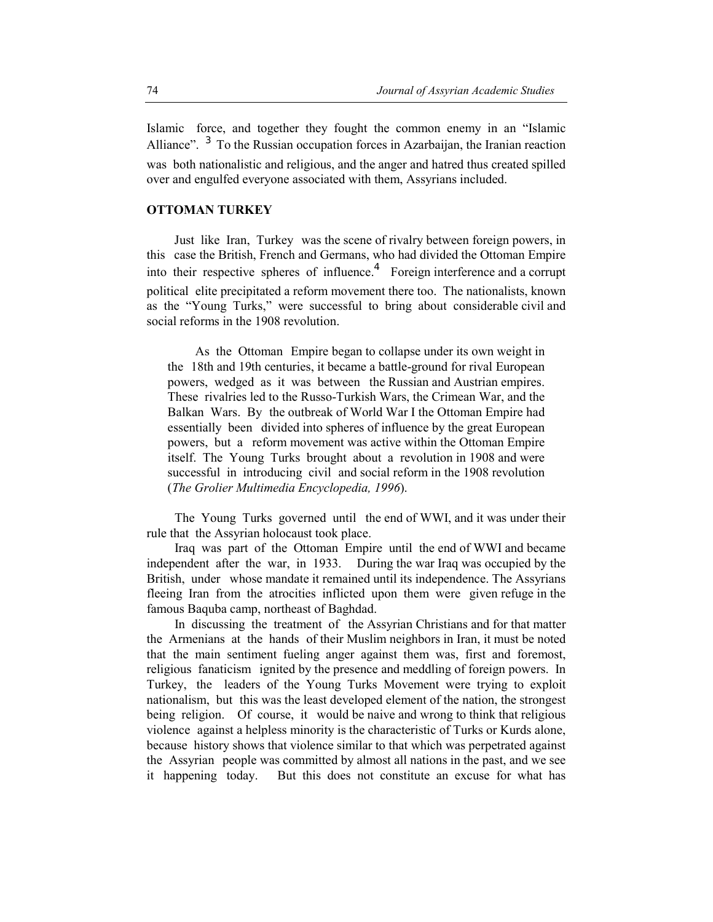Islamic force, and together they fought the common enemy in an "Islamic Alliance".  $3\degree$  To the Russian occupation forces in Azarbaijan, the Iranian reaction was both nationalistic and religious, and the anger and hatred thus created spilled over and engulfed everyone associated with them, Assyrians included.

### **OTTOMAN TURKEY**

Just like Iran, Turkey was the scene of rivalry between foreign powers, in this case the British, French and Germans, who had divided the Ottoman Empire into their respective spheres of influence.<sup>4</sup> Foreign interference and a corrupt political elite precipitated a reform movement there too. The nationalists, known as the "Young Turks," were successful to bring about considerable civil and social reforms in the 1908 revolution.

As the Ottoman Empire began to collapse under its own weight in the 18th and 19th centuries, it became a battle-ground for rival European powers, wedged as it was between the Russian and Austrian empires. These rivalries led to the Russo-Turkish Wars, the Crimean War, and the Balkan Wars. By the outbreak of World War I the Ottoman Empire had essentially been divided into spheres of influence by the great European powers, but a reform movement was active within the Ottoman Empire itself. The Young Turks brought about a revolution in 1908 and were successful in introducing civil and social reform in the 1908 revolution (*The Grolier Multimedia Encyclopedia, 1996*).

The Young Turks governed until the end of WWI, and it was under their rule that the Assyrian holocaust took place.

Iraq was part of the Ottoman Empire until the end of WWI and became independent after the war, in 1933. During the war Iraq was occupied by the British, under whose mandate it remained until its independence. The Assyrians fleeing Iran from the atrocities inflicted upon them were given refuge in the famous Baquba camp, northeast of Baghdad.

In discussing the treatment of the Assyrian Christians and for that matter the Armenians at the hands of their Muslim neighbors in Iran, it must be noted that the main sentiment fueling anger against them was, first and foremost, religious fanaticism ignited by the presence and meddling of foreign powers. In Turkey, the leaders of the Young Turks Movement were trying to exploit nationalism, but this was the least developed element of the nation, the strongest being religion. Of course, it would be naive and wrong to think that religious violence against a helpless minority is the characteristic of Turks or Kurds alone, because history shows that violence similar to that which was perpetrated against the Assyrian people was committed by almost all nations in the past, and we see it happening today. But this does not constitute an excuse for what has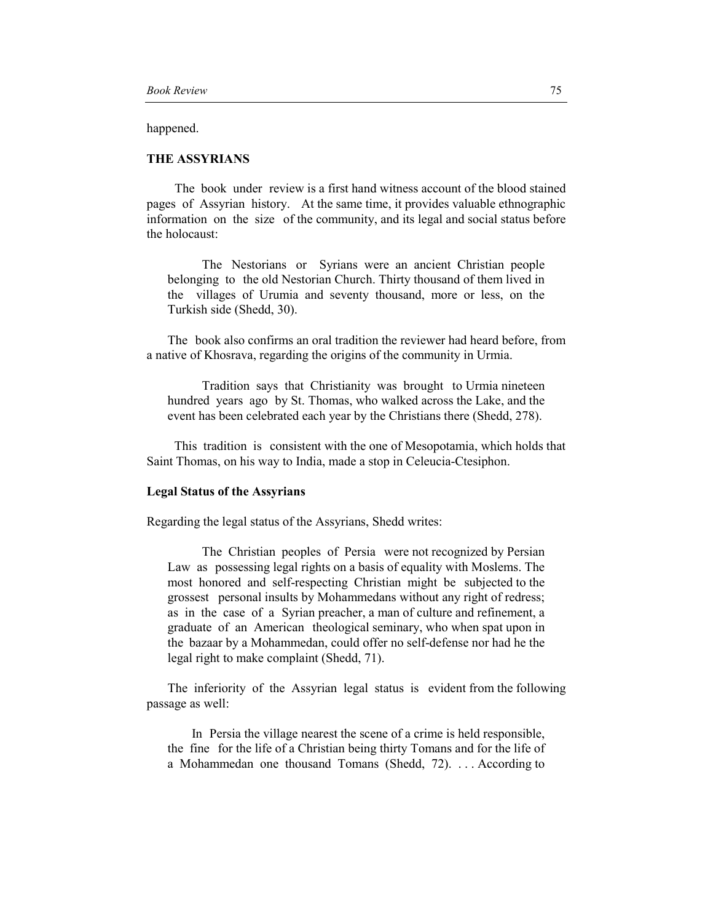happened.

## **THE ASSYRIANS**

The book under review is a first hand witness account of the blood stained pages of Assyrian history. At the same time, it provides valuable ethnographic information on the size of the community, and its legal and social status before the holocaust:

The Nestorians or Syrians were an ancient Christian people belonging to the old Nestorian Church. Thirty thousand of them lived in the villages of Urumia and seventy thousand, more or less, on the Turkish side (Shedd, 30).

The book also confirms an oral tradition the reviewer had heard before, from a native of Khosrava, regarding the origins of the community in Urmia.

Tradition says that Christianity was brought to Urmia nineteen hundred years ago by St. Thomas, who walked across the Lake, and the event has been celebrated each year by the Christians there (Shedd, 278).

 This tradition is consistent with the one of Mesopotamia, which holds that Saint Thomas, on his way to India, made a stop in Celeucia-Ctesiphon.

## **Legal Status of the Assyrians**

Regarding the legal status of the Assyrians, Shedd writes:

 The Christian peoples of Persia were not recognized by Persian Law as possessing legal rights on a basis of equality with Moslems. The most honored and self-respecting Christian might be subjected to the grossest personal insults by Mohammedans without any right of redress; as in the case of a Syrian preacher, a man of culture and refinement, a graduate of an American theological seminary, who when spat upon in the bazaar by a Mohammedan, could offer no self-defense nor had he the legal right to make complaint (Shedd, 71).

The inferiority of the Assyrian legal status is evident from the following passage as well:

 In Persia the village nearest the scene of a crime is held responsible, the fine for the life of a Christian being thirty Tomans and for the life of a Mohammedan one thousand Tomans (Shedd, 72). . . . According to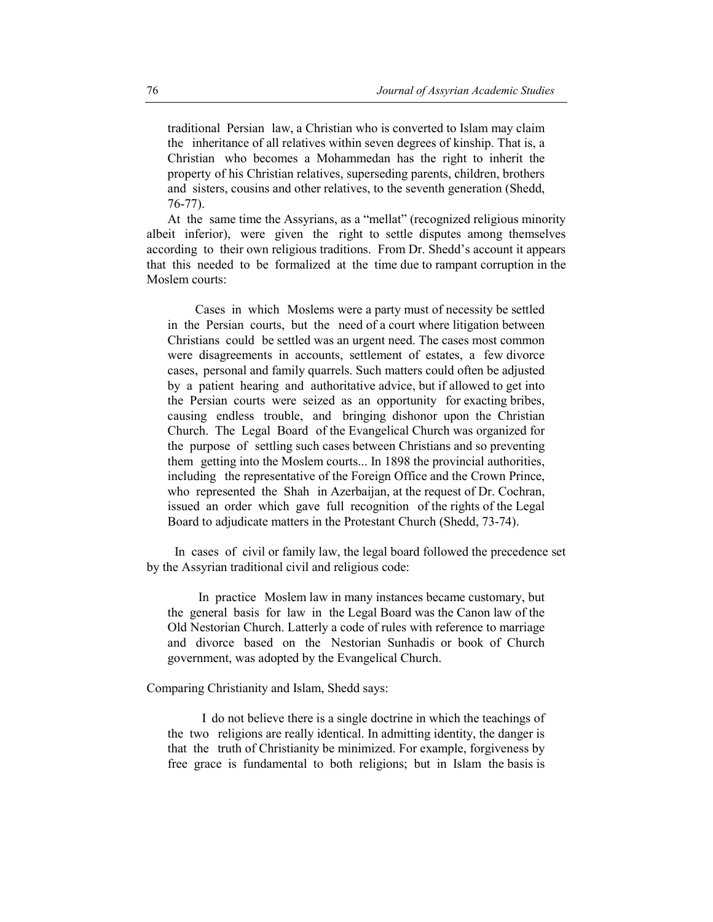traditional Persian law, a Christian who is converted to Islam may claim the inheritance of all relatives within seven degrees of kinship. That is, a Christian who becomes a Mohammedan has the right to inherit the property of his Christian relatives, superseding parents, children, brothers and sisters, cousins and other relatives, to the seventh generation (Shedd, 76-77).

At the same time the Assyrians, as a "mellat" (recognized religious minority albeit inferior), were given the right to settle disputes among themselves according to their own religious traditions. From Dr. Shedd's account it appears that this needed to be formalized at the time due to rampant corruption in the Moslem courts:

Cases in which Moslems were a party must of necessity be settled in the Persian courts, but the need of a court where litigation between Christians could be settled was an urgent need. The cases most common were disagreements in accounts, settlement of estates, a few divorce cases, personal and family quarrels. Such matters could often be adjusted by a patient hearing and authoritative advice, but if allowed to get into the Persian courts were seized as an opportunity for exacting bribes, causing endless trouble, and bringing dishonor upon the Christian Church. The Legal Board of the Evangelical Church was organized for the purpose of settling such cases between Christians and so preventing them getting into the Moslem courts... In 1898 the provincial authorities, including the representative of the Foreign Office and the Crown Prince, who represented the Shah in Azerbaijan, at the request of Dr. Cochran, issued an order which gave full recognition of the rights of the Legal Board to adjudicate matters in the Protestant Church (Shedd, 73-74).

In cases of civil or family law, the legal board followed the precedence set by the Assyrian traditional civil and religious code:

 In practice Moslem law in many instances became customary, but the general basis for law in the Legal Board was the Canon law of the Old Nestorian Church. Latterly a code of rules with reference to marriage and divorce based on the Nestorian Sunhadis or book of Church government, was adopted by the Evangelical Church.

Comparing Christianity and Islam, Shedd says:

I do not believe there is a single doctrine in which the teachings of the two religions are really identical. In admitting identity, the danger is that the truth of Christianity be minimized. For example, forgiveness by free grace is fundamental to both religions; but in Islam the basis is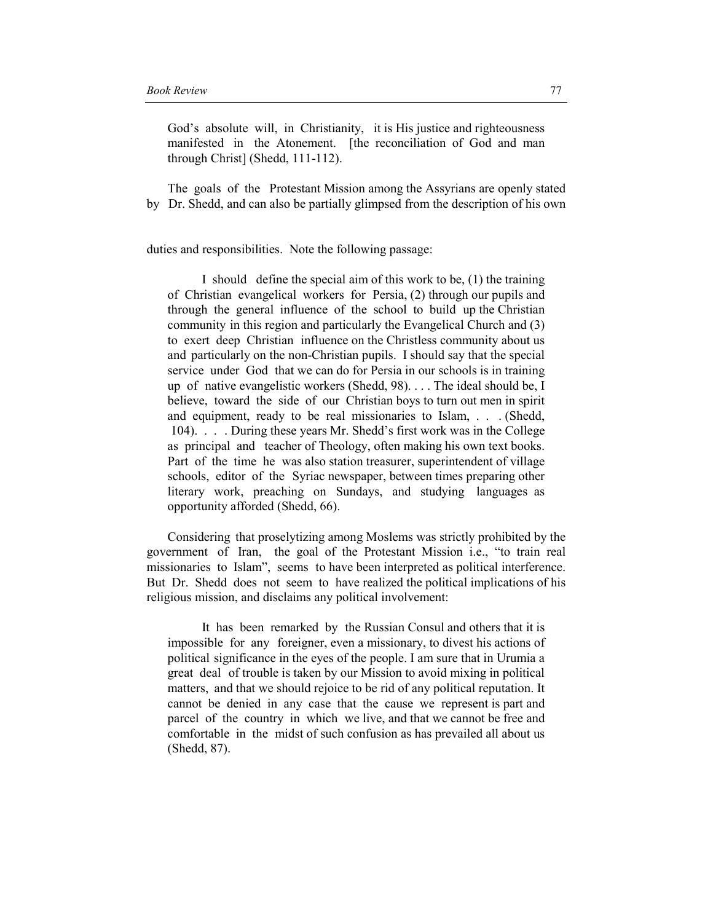God's absolute will, in Christianity, it is His justice and righteousness manifested in the Atonement. [the reconciliation of God and man through Christ] (Shedd, 111-112).

The goals of the Protestant Mission among the Assyrians are openly stated by Dr. Shedd, and can also be partially glimpsed from the description of his own

duties and responsibilities. Note the following passage:

I should define the special aim of this work to be, (1) the training of Christian evangelical workers for Persia, (2) through our pupils and through the general influence of the school to build up the Christian community in this region and particularly the Evangelical Church and (3) to exert deep Christian influence on the Christless community about us and particularly on the non-Christian pupils. I should say that the special service under God that we can do for Persia in our schools is in training up of native evangelistic workers (Shedd, 98). . . . The ideal should be, I believe, toward the side of our Christian boys to turn out men in spirit and equipment, ready to be real missionaries to Islam, . . . (Shedd, 104). . . . During these years Mr. Shedd's first work was in the College as principal and teacher of Theology, often making his own text books. Part of the time he was also station treasurer, superintendent of village schools, editor of the Syriac newspaper, between times preparing other literary work, preaching on Sundays, and studying languages as opportunity afforded (Shedd, 66).

Considering that proselytizing among Moslems was strictly prohibited by the government of Iran, the goal of the Protestant Mission i.e., "to train real missionaries to Islam", seems to have been interpreted as political interference. But Dr. Shedd does not seem to have realized the political implications of his religious mission, and disclaims any political involvement:

It has been remarked by the Russian Consul and others that it is impossible for any foreigner, even a missionary, to divest his actions of political significance in the eyes of the people. I am sure that in Urumia a great deal of trouble is taken by our Mission to avoid mixing in political matters, and that we should rejoice to be rid of any political reputation. It cannot be denied in any case that the cause we represent is part and parcel of the country in which we live, and that we cannot be free and comfortable in the midst of such confusion as has prevailed all about us (Shedd, 87).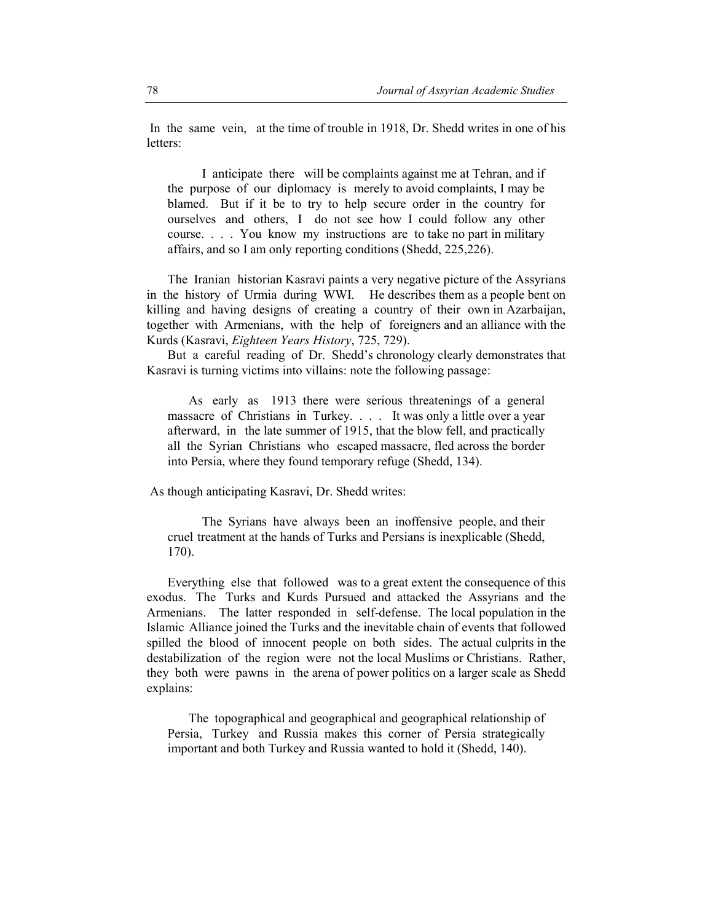In the same vein, at the time of trouble in 1918, Dr. Shedd writes in one of his letters:

I anticipate there will be complaints against me at Tehran, and if the purpose of our diplomacy is merely to avoid complaints, I may be blamed. But if it be to try to help secure order in the country for ourselves and others, I do not see how I could follow any other course. . . . You know my instructions are to take no part in military affairs, and so I am only reporting conditions (Shedd, 225,226).

The Iranian historian Kasravi paints a very negative picture of the Assyrians in the history of Urmia during WWI. He describes them as a people bent on killing and having designs of creating a country of their own in Azarbaijan, together with Armenians, with the help of foreigners and an alliance with the Kurds (Kasravi, *Eighteen Years History*, 725, 729).

But a careful reading of Dr. Shedd's chronology clearly demonstrates that Kasravi is turning victims into villains: note the following passage:

As early as 1913 there were serious threatenings of a general massacre of Christians in Turkey. . . . It was only a little over a year afterward, in the late summer of 1915, that the blow fell, and practically all the Syrian Christians who escaped massacre, fled across the border into Persia, where they found temporary refuge (Shedd, 134).

As though anticipating Kasravi, Dr. Shedd writes:

The Syrians have always been an inoffensive people, and their cruel treatment at the hands of Turks and Persians is inexplicable (Shedd, 170).

Everything else that followed was to a great extent the consequence of this exodus. The Turks and Kurds Pursued and attacked the Assyrians and the Armenians. The latter responded in self-defense. The local population in the Islamic Alliance joined the Turks and the inevitable chain of events that followed spilled the blood of innocent people on both sides. The actual culprits in the destabilization of the region were not the local Muslims or Christians. Rather, they both were pawns in the arena of power politics on a larger scale as Shedd explains:

The topographical and geographical and geographical relationship of Persia, Turkey and Russia makes this corner of Persia strategically important and both Turkey and Russia wanted to hold it (Shedd, 140).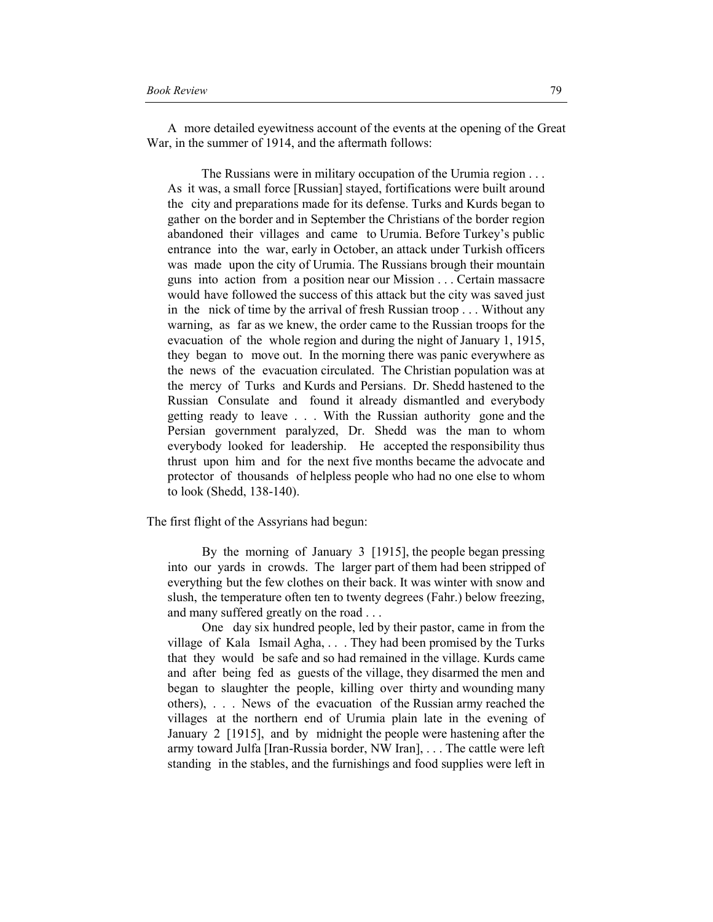A more detailed eyewitness account of the events at the opening of the Great War, in the summer of 1914, and the aftermath follows:

 The Russians were in military occupation of the Urumia region . . . As it was, a small force [Russian] stayed, fortifications were built around the city and preparations made for its defense. Turks and Kurds began to gather on the border and in September the Christians of the border region abandoned their villages and came to Urumia. Before Turkey's public entrance into the war, early in October, an attack under Turkish officers was made upon the city of Urumia. The Russians brough their mountain guns into action from a position near our Mission . . . Certain massacre would have followed the success of this attack but the city was saved just in the nick of time by the arrival of fresh Russian troop . . . Without any warning, as far as we knew, the order came to the Russian troops for the evacuation of the whole region and during the night of January 1, 1915, they began to move out. In the morning there was panic everywhere as the news of the evacuation circulated. The Christian population was at the mercy of Turks and Kurds and Persians. Dr. Shedd hastened to the Russian Consulate and found it already dismantled and everybody getting ready to leave . . . With the Russian authority gone and the Persian government paralyzed, Dr. Shedd was the man to whom everybody looked for leadership. He accepted the responsibility thus thrust upon him and for the next five months became the advocate and protector of thousands of helpless people who had no one else to whom to look (Shedd, 138-140).

The first flight of the Assyrians had begun:

By the morning of January 3 [1915], the people began pressing into our yards in crowds. The larger part of them had been stripped of everything but the few clothes on their back. It was winter with snow and slush, the temperature often ten to twenty degrees (Fahr.) below freezing, and many suffered greatly on the road . . .

One day six hundred people, led by their pastor, came in from the village of Kala Ismail Agha, . . . They had been promised by the Turks that they would be safe and so had remained in the village. Kurds came and after being fed as guests of the village, they disarmed the men and began to slaughter the people, killing over thirty and wounding many others), . . . News of the evacuation of the Russian army reached the villages at the northern end of Urumia plain late in the evening of January 2 [1915], and by midnight the people were hastening after the army toward Julfa [Iran-Russia border, NW Iran], . . . The cattle were left standing in the stables, and the furnishings and food supplies were left in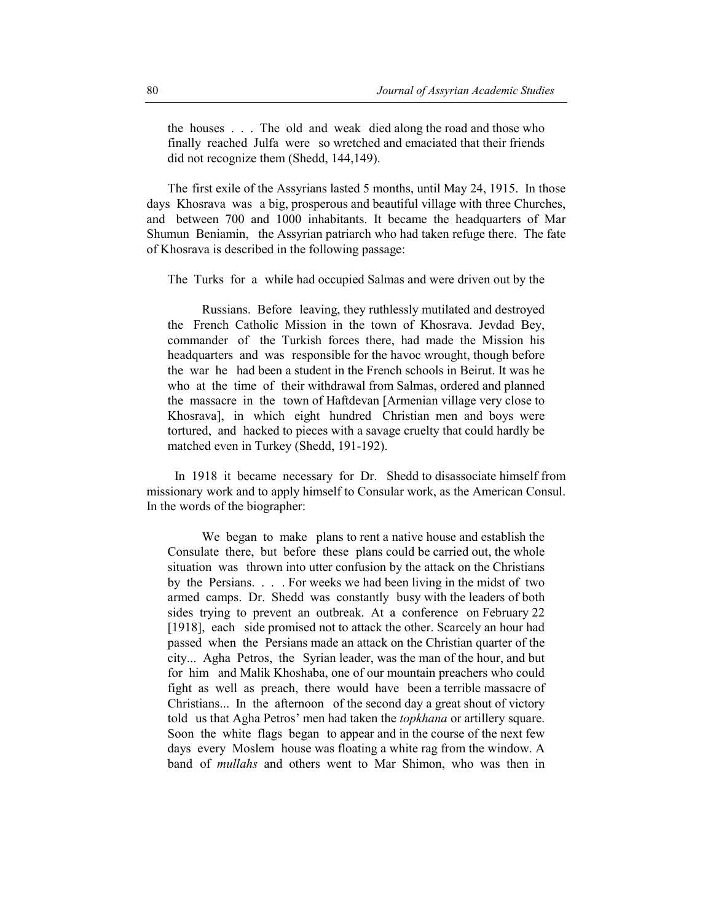the houses . . . The old and weak died along the road and those who finally reached Julfa were so wretched and emaciated that their friends did not recognize them (Shedd, 144,149).

The first exile of the Assyrians lasted 5 months, until May 24, 1915. In those days Khosrava was a big, prosperous and beautiful village with three Churches, and between 700 and 1000 inhabitants. It became the headquarters of Mar Shumun Beniamin, the Assyrian patriarch who had taken refuge there. The fate of Khosrava is described in the following passage:

The Turks for a while had occupied Salmas and were driven out by the

Russians. Before leaving, they ruthlessly mutilated and destroyed the French Catholic Mission in the town of Khosrava. Jevdad Bey, commander of the Turkish forces there, had made the Mission his headquarters and was responsible for the havoc wrought, though before the war he had been a student in the French schools in Beirut. It was he who at the time of their withdrawal from Salmas, ordered and planned the massacre in the town of Haftdevan [Armenian village very close to Khosrava], in which eight hundred Christian men and boys were tortured, and hacked to pieces with a savage cruelty that could hardly be matched even in Turkey (Shedd, 191-192).

In 1918 it became necessary for Dr. Shedd to disassociate himself from missionary work and to apply himself to Consular work, as the American Consul. In the words of the biographer:

We began to make plans to rent a native house and establish the Consulate there, but before these plans could be carried out, the whole situation was thrown into utter confusion by the attack on the Christians by the Persians. . . . For weeks we had been living in the midst of two armed camps. Dr. Shedd was constantly busy with the leaders of both sides trying to prevent an outbreak. At a conference on February 22 [1918], each side promised not to attack the other. Scarcely an hour had passed when the Persians made an attack on the Christian quarter of the city... Agha Petros, the Syrian leader, was the man of the hour, and but for him and Malik Khoshaba, one of our mountain preachers who could fight as well as preach, there would have been a terrible massacre of Christians... In the afternoon of the second day a great shout of victory told us that Agha Petros' men had taken the *topkhana* or artillery square. Soon the white flags began to appear and in the course of the next few days every Moslem house was floating a white rag from the window. A band of *mullahs* and others went to Mar Shimon, who was then in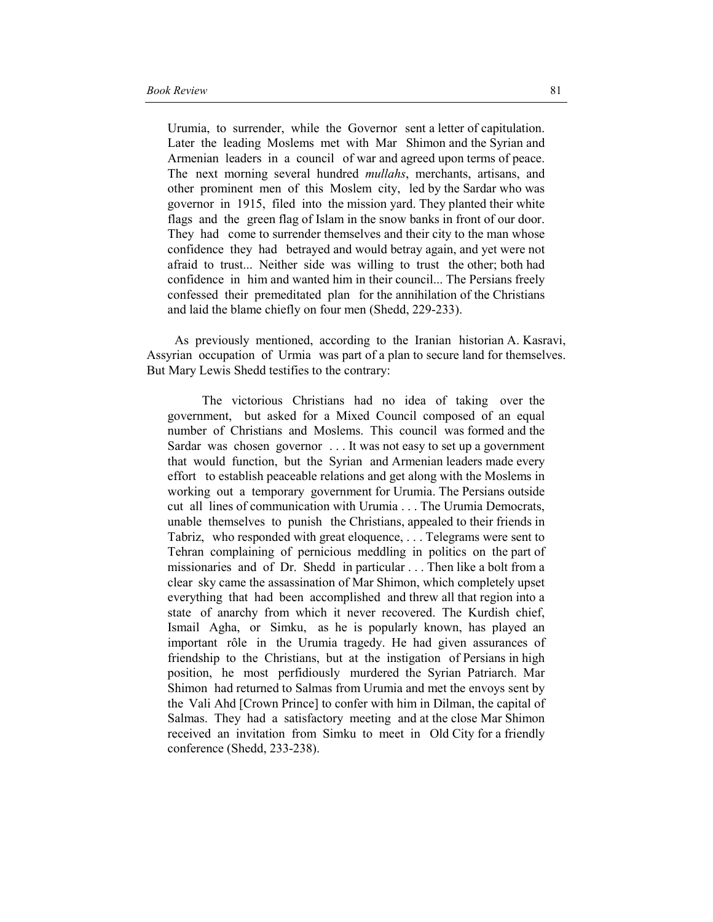Urumia, to surrender, while the Governor sent a letter of capitulation. Later the leading Moslems met with Mar Shimon and the Syrian and Armenian leaders in a council of war and agreed upon terms of peace. The next morning several hundred *mullahs*, merchants, artisans, and other prominent men of this Moslem city, led by the Sardar who was governor in 1915, filed into the mission yard. They planted their white flags and the green flag of Islam in the snow banks in front of our door. They had come to surrender themselves and their city to the man whose confidence they had betrayed and would betray again, and yet were not afraid to trust... Neither side was willing to trust the other; both had confidence in him and wanted him in their council... The Persians freely confessed their premeditated plan for the annihilation of the Christians and laid the blame chiefly on four men (Shedd, 229-233).

As previously mentioned, according to the Iranian historian A. Kasravi, Assyrian occupation of Urmia was part of a plan to secure land for themselves. But Mary Lewis Shedd testifies to the contrary:

The victorious Christians had no idea of taking over the government, but asked for a Mixed Council composed of an equal number of Christians and Moslems. This council was formed and the Sardar was chosen governor . . . It was not easy to set up a government that would function, but the Syrian and Armenian leaders made every effort to establish peaceable relations and get along with the Moslems in working out a temporary government for Urumia. The Persians outside cut all lines of communication with Urumia . . . The Urumia Democrats, unable themselves to punish the Christians, appealed to their friends in Tabriz, who responded with great eloquence, . . . Telegrams were sent to Tehran complaining of pernicious meddling in politics on the part of missionaries and of Dr. Shedd in particular . . . Then like a bolt from a clear sky came the assassination of Mar Shimon, which completely upset everything that had been accomplished and threw all that region into a state of anarchy from which it never recovered. The Kurdish chief, Ismail Agha, or Simku, as he is popularly known, has played an important rôle in the Urumia tragedy. He had given assurances of friendship to the Christians, but at the instigation of Persians in high position, he most perfidiously murdered the Syrian Patriarch. Mar Shimon had returned to Salmas from Urumia and met the envoys sent by the Vali Ahd [Crown Prince] to confer with him in Dilman, the capital of Salmas. They had a satisfactory meeting and at the close Mar Shimon received an invitation from Simku to meet in Old City for a friendly conference (Shedd, 233-238).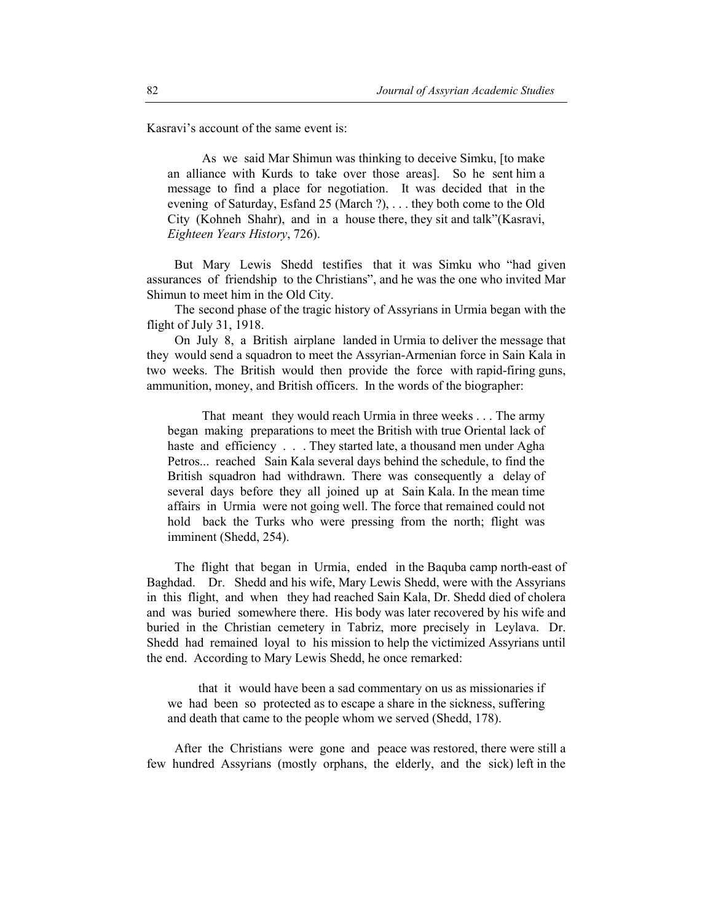Kasravi's account of the same event is:

As we said Mar Shimun was thinking to deceive Simku, [to make an alliance with Kurds to take over those areas]. So he sent him a message to find a place for negotiation. It was decided that in the evening of Saturday, Esfand 25 (March ?), . . . they both come to the Old City (Kohneh Shahr), and in a house there, they sit and talk"(Kasravi, *Eighteen Years History*, 726).

But Mary Lewis Shedd testifies that it was Simku who "had given assurances of friendship to the Christians", and he was the one who invited Mar Shimun to meet him in the Old City.

The second phase of the tragic history of Assyrians in Urmia began with the flight of July 31, 1918.

On July 8, a British airplane landed in Urmia to deliver the message that they would send a squadron to meet the Assyrian-Armenian force in Sain Kala in two weeks. The British would then provide the force with rapid-firing guns, ammunition, money, and British officers. In the words of the biographer:

That meant they would reach Urmia in three weeks . . . The army began making preparations to meet the British with true Oriental lack of haste and efficiency . . . They started late, a thousand men under Agha Petros... reached Sain Kala several days behind the schedule, to find the British squadron had withdrawn. There was consequently a delay of several days before they all joined up at Sain Kala. In the mean time affairs in Urmia were not going well. The force that remained could not hold back the Turks who were pressing from the north; flight was imminent (Shedd, 254).

The flight that began in Urmia, ended in the Baquba camp north-east of Baghdad. Dr. Shedd and his wife, Mary Lewis Shedd, were with the Assyrians in this flight, and when they had reached Sain Kala, Dr. Shedd died of cholera and was buried somewhere there. His body was later recovered by his wife and buried in the Christian cemetery in Tabriz, more precisely in Leylava. Dr. Shedd had remained loyal to his mission to help the victimized Assyrians until the end. According to Mary Lewis Shedd, he once remarked:

 that it would have been a sad commentary on us as missionaries if we had been so protected as to escape a share in the sickness, suffering and death that came to the people whom we served (Shedd, 178).

After the Christians were gone and peace was restored, there were still a few hundred Assyrians (mostly orphans, the elderly, and the sick) left in the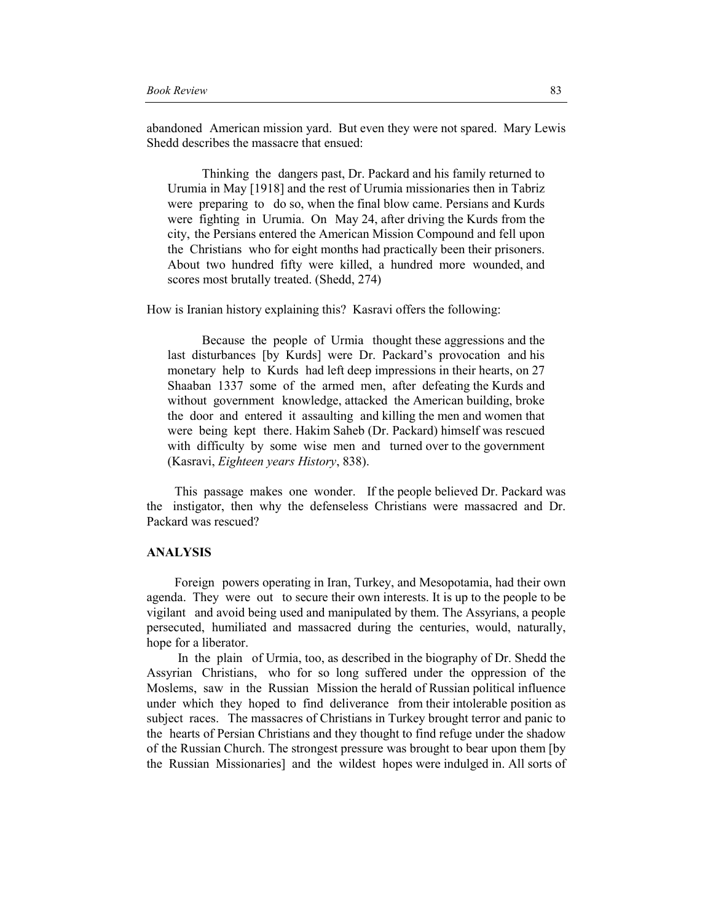abandoned American mission yard. But even they were not spared. Mary Lewis Shedd describes the massacre that ensued:

Thinking the dangers past, Dr. Packard and his family returned to Urumia in May [1918] and the rest of Urumia missionaries then in Tabriz were preparing to do so, when the final blow came. Persians and Kurds were fighting in Urumia. On May 24, after driving the Kurds from the city, the Persians entered the American Mission Compound and fell upon the Christians who for eight months had practically been their prisoners. About two hundred fifty were killed, a hundred more wounded, and scores most brutally treated. (Shedd, 274)

How is Iranian history explaining this? Kasravi offers the following:

Because the people of Urmia thought these aggressions and the last disturbances [by Kurds] were Dr. Packard's provocation and his monetary help to Kurds had left deep impressions in their hearts, on 27 Shaaban 1337 some of the armed men, after defeating the Kurds and without government knowledge, attacked the American building, broke the door and entered it assaulting and killing the men and women that were being kept there. Hakim Saheb (Dr. Packard) himself was rescued with difficulty by some wise men and turned over to the government (Kasravi, *Eighteen years History*, 838).

This passage makes one wonder. If the people believed Dr. Packard was the instigator, then why the defenseless Christians were massacred and Dr. Packard was rescued?

### **ANALYSIS**

Foreign powers operating in Iran, Turkey, and Mesopotamia, had their own agenda. They were out to secure their own interests. It is up to the people to be vigilant and avoid being used and manipulated by them. The Assyrians, a people persecuted, humiliated and massacred during the centuries, would, naturally, hope for a liberator.

 In the plain of Urmia, too, as described in the biography of Dr. Shedd the Assyrian Christians, who for so long suffered under the oppression of the Moslems, saw in the Russian Mission the herald of Russian political influence under which they hoped to find deliverance from their intolerable position as subject races. The massacres of Christians in Turkey brought terror and panic to the hearts of Persian Christians and they thought to find refuge under the shadow of the Russian Church. The strongest pressure was brought to bear upon them [by the Russian Missionaries] and the wildest hopes were indulged in. All sorts of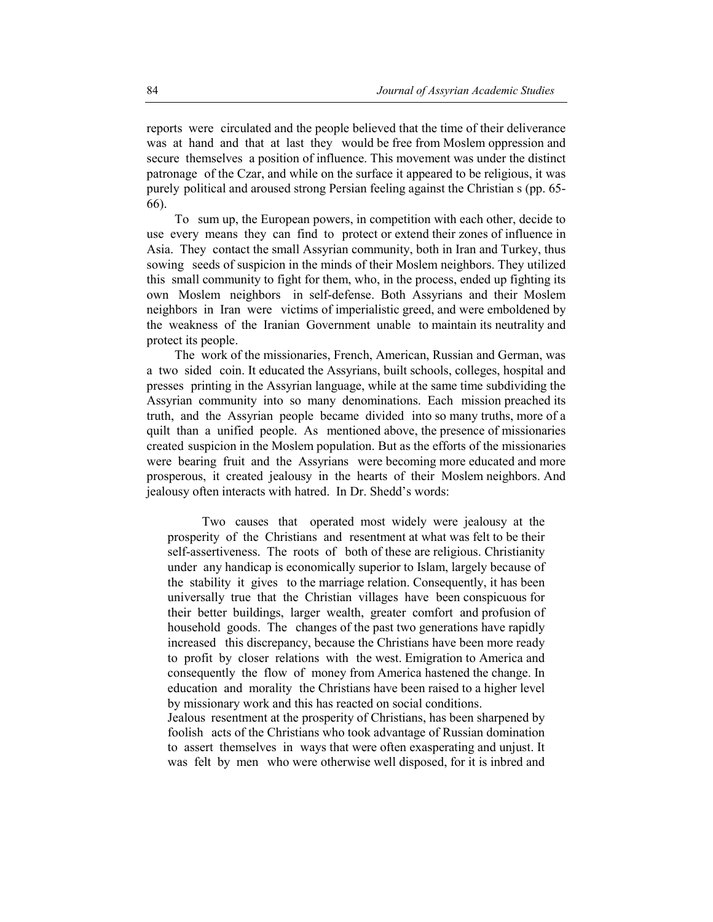reports were circulated and the people believed that the time of their deliverance was at hand and that at last they would be free from Moslem oppression and secure themselves a position of influence. This movement was under the distinct patronage of the Czar, and while on the surface it appeared to be religious, it was purely political and aroused strong Persian feeling against the Christian s (pp. 65- 66).

To sum up, the European powers, in competition with each other, decide to use every means they can find to protect or extend their zones of influence in Asia. They contact the small Assyrian community, both in Iran and Turkey, thus sowing seeds of suspicion in the minds of their Moslem neighbors. They utilized this small community to fight for them, who, in the process, ended up fighting its own Moslem neighbors in self-defense. Both Assyrians and their Moslem neighbors in Iran were victims of imperialistic greed, and were emboldened by the weakness of the Iranian Government unable to maintain its neutrality and protect its people.

The work of the missionaries, French, American, Russian and German, was a two sided coin. It educated the Assyrians, built schools, colleges, hospital and presses printing in the Assyrian language, while at the same time subdividing the Assyrian community into so many denominations. Each mission preached its truth, and the Assyrian people became divided into so many truths, more of a quilt than a unified people. As mentioned above, the presence of missionaries created suspicion in the Moslem population. But as the efforts of the missionaries were bearing fruit and the Assyrians were becoming more educated and more prosperous, it created jealousy in the hearts of their Moslem neighbors. And jealousy often interacts with hatred. In Dr. Shedd's words:

Two causes that operated most widely were jealousy at the prosperity of the Christians and resentment at what was felt to be their self-assertiveness. The roots of both of these are religious. Christianity under any handicap is economically superior to Islam, largely because of the stability it gives to the marriage relation. Consequently, it has been universally true that the Christian villages have been conspicuous for their better buildings, larger wealth, greater comfort and profusion of household goods. The changes of the past two generations have rapidly increased this discrepancy, because the Christians have been more ready to profit by closer relations with the west. Emigration to America and consequently the flow of money from America hastened the change. In education and morality the Christians have been raised to a higher level by missionary work and this has reacted on social conditions.

Jealous resentment at the prosperity of Christians, has been sharpened by foolish acts of the Christians who took advantage of Russian domination to assert themselves in ways that were often exasperating and unjust. It was felt by men who were otherwise well disposed, for it is inbred and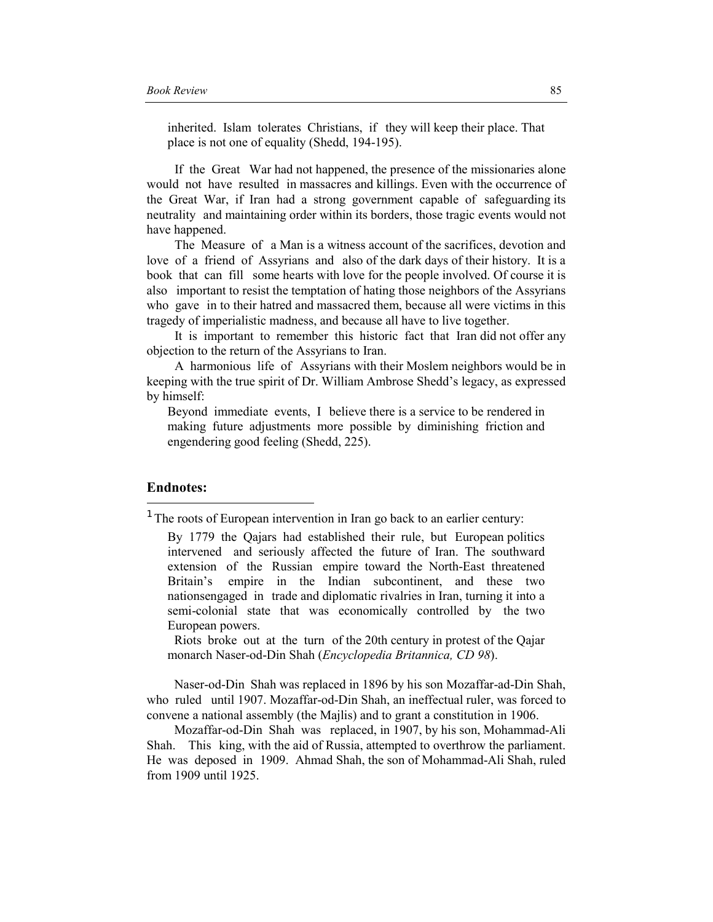inherited. Islam tolerates Christians, if they will keep their place. That place is not one of equality (Shedd, 194-195).

If the Great War had not happened, the presence of the missionaries alone would not have resulted in massacres and killings. Even with the occurrence of the Great War, if Iran had a strong government capable of safeguarding its neutrality and maintaining order within its borders, those tragic events would not have happened.

The Measure of a Man is a witness account of the sacrifices, devotion and love of a friend of Assyrians and also of the dark days of their history. It is a book that can fill some hearts with love for the people involved. Of course it is also important to resist the temptation of hating those neighbors of the Assyrians who gave in to their hatred and massacred them, because all were victims in this tragedy of imperialistic madness, and because all have to live together.

It is important to remember this historic fact that Iran did not offer any objection to the return of the Assyrians to Iran.

A harmonious life of Assyrians with their Moslem neighbors would be in keeping with the true spirit of Dr. William Ambrose Shedd's legacy, as expressed by himself:

Beyond immediate events, I believe there is a service to be rendered in making future adjustments more possible by diminishing friction and engendering good feeling (Shedd, 225).

## **Endnotes:**

l

Riots broke out at the turn of the 20th century in protest of the Qajar monarch Naser-od-Din Shah (*Encyclopedia Britannica, CD 98*).

Naser-od-Din Shah was replaced in 1896 by his son Mozaffar-ad-Din Shah, who ruled until 1907. Mozaffar-od-Din Shah, an ineffectual ruler, was forced to convene a national assembly (the Majlis) and to grant a constitution in 1906.

 Mozaffar-od-Din Shah was replaced, in 1907, by his son, Mohammad-Ali Shah. This king, with the aid of Russia, attempted to overthrow the parliament. He was deposed in 1909. Ahmad Shah, the son of Mohammad-Ali Shah, ruled from 1909 until 1925.

 $1$  The roots of European intervention in Iran go back to an earlier century:

By 1779 the Qajars had established their rule, but European politics intervened and seriously affected the future of Iran. The southward extension of the Russian empire toward the North-East threatened Britain's empire in the Indian subcontinent, and these two nationsengaged in trade and diplomatic rivalries in Iran, turning it into a semi-colonial state that was economically controlled by the two European powers.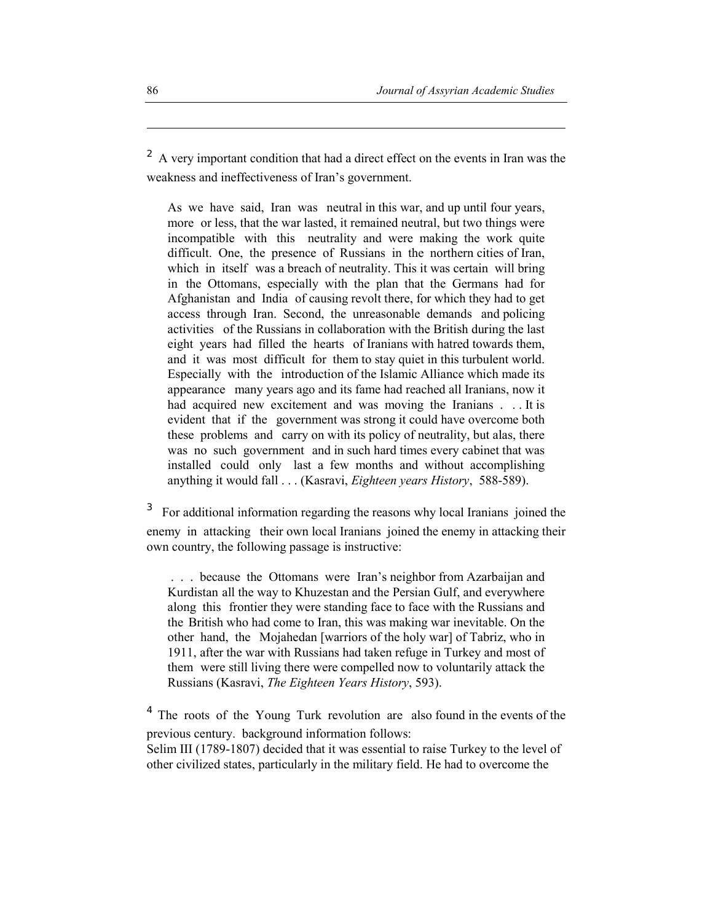$2<sup>2</sup>$  A very important condition that had a direct effect on the events in Iran was the weakness and ineffectiveness of Iran's government.

As we have said, Iran was neutral in this war, and up until four years, more or less, that the war lasted, it remained neutral, but two things were incompatible with this neutrality and were making the work quite difficult. One, the presence of Russians in the northern cities of Iran, which in itself was a breach of neutrality. This it was certain will bring in the Ottomans, especially with the plan that the Germans had for Afghanistan and India of causing revolt there, for which they had to get access through Iran. Second, the unreasonable demands and policing activities of the Russians in collaboration with the British during the last eight years had filled the hearts of Iranians with hatred towards them, and it was most difficult for them to stay quiet in this turbulent world. Especially with the introduction of the Islamic Alliance which made its appearance many years ago and its fame had reached all Iranians, now it had acquired new excitement and was moving the Iranians . . . It is evident that if the government was strong it could have overcome both these problems and carry on with its policy of neutrality, but alas, there was no such government and in such hard times every cabinet that was installed could only last a few months and without accomplishing anything it would fall . . . (Kasravi, *Eighteen years History*, 588-589).

3 For additional information regarding the reasons why local Iranians joined the enemy in attacking their own local Iranians joined the enemy in attacking their own country, the following passage is instructive:

 . . . because the Ottomans were Iran's neighbor from Azarbaijan and Kurdistan all the way to Khuzestan and the Persian Gulf, and everywhere along this frontier they were standing face to face with the Russians and the British who had come to Iran, this was making war inevitable. On the other hand, the Mojahedan [warriors of the holy war] of Tabriz, who in 1911, after the war with Russians had taken refuge in Turkey and most of them were still living there were compelled now to voluntarily attack the Russians (Kasravi, *The Eighteen Years History*, 593).

<sup>4</sup> The roots of the Young Turk revolution are also found in the events of the previous century. background information follows:

Selim III (1789-1807) decided that it was essential to raise Turkey to the level of other civilized states, particularly in the military field. He had to overcome the

 $\overline{\phantom{a}}$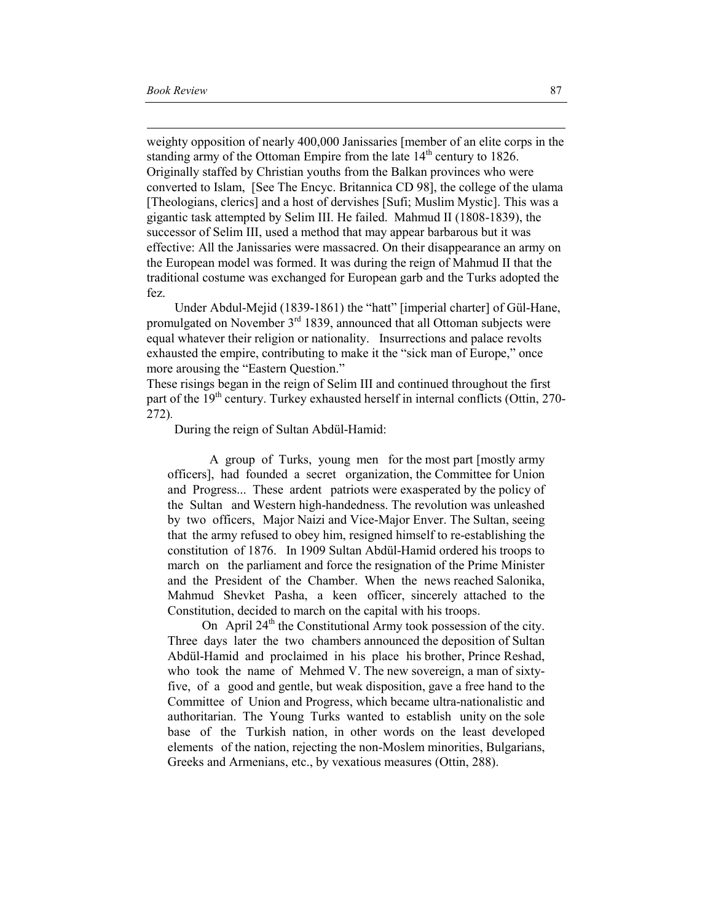$\overline{\phantom{a}}$ 

weighty opposition of nearly 400,000 Janissaries [member of an elite corps in the standing army of the Ottoman Empire from the late  $14<sup>th</sup>$  century to 1826. Originally staffed by Christian youths from the Balkan provinces who were converted to Islam, [See The Encyc. Britannica CD 98], the college of the ulama [Theologians, clerics] and a host of dervishes [Sufi; Muslim Mystic]. This was a gigantic task attempted by Selim III. He failed. Mahmud II (1808-1839), the successor of Selim III, used a method that may appear barbarous but it was effective: All the Janissaries were massacred. On their disappearance an army on the European model was formed. It was during the reign of Mahmud II that the traditional costume was exchanged for European garb and the Turks adopted the fez.

Under Abdul-Mejid (1839-1861) the "hatt" [imperial charter] of Gül-Hane, promulgated on November  $3<sup>rd</sup>$  1839, announced that all Ottoman subjects were equal whatever their religion or nationality. Insurrections and palace revolts exhausted the empire, contributing to make it the "sick man of Europe," once more arousing the "Eastern Question."

These risings began in the reign of Selim III and continued throughout the first part of the  $19<sup>th</sup>$  century. Turkey exhausted herself in internal conflicts (Ottin, 270-272)*.*

During the reign of Sultan Abdül-Hamid:

A group of Turks, young men for the most part [mostly army officers], had founded a secret organization, the Committee for Union and Progress... These ardent patriots were exasperated by the policy of the Sultan and Western high-handedness. The revolution was unleashed by two officers, Major Naizi and Vice-Major Enver. The Sultan, seeing that the army refused to obey him, resigned himself to re-establishing the constitution of 1876. In 1909 Sultan Abdül-Hamid ordered his troops to march on the parliament and force the resignation of the Prime Minister and the President of the Chamber. When the news reached Salonika, Mahmud Shevket Pasha, a keen officer, sincerely attached to the Constitution, decided to march on the capital with his troops.

On April  $24<sup>th</sup>$  the Constitutional Army took possession of the city. Three days later the two chambers announced the deposition of Sultan Abdül-Hamid and proclaimed in his place his brother, Prince Reshad, who took the name of Mehmed V. The new sovereign, a man of sixtyfive, of a good and gentle, but weak disposition, gave a free hand to the Committee of Union and Progress, which became ultra-nationalistic and authoritarian. The Young Turks wanted to establish unity on the sole base of the Turkish nation, in other words on the least developed elements of the nation, rejecting the non-Moslem minorities, Bulgarians, Greeks and Armenians, etc., by vexatious measures (Ottin, 288).